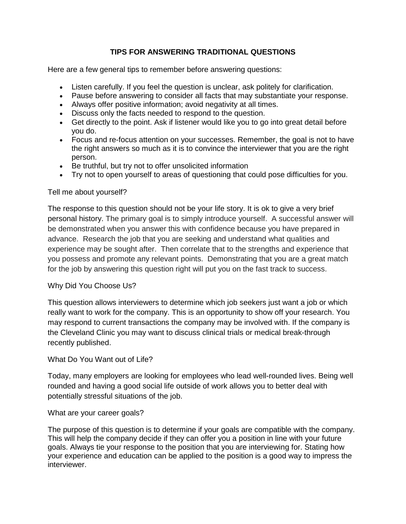# **TIPS FOR ANSWERING TRADITIONAL QUESTIONS**

Here are a few general tips to remember before answering questions:

- Listen carefully. If you feel the question is unclear, ask politely for clarification.
- Pause before answering to consider all facts that may substantiate your response.
- Always offer positive information; avoid negativity at all times.
- Discuss only the facts needed to respond to the question.
- Get directly to the point. Ask if listener would like you to go into great detail before you do.
- Focus and re-focus attention on your successes. Remember, the goal is not to have the right answers so much as it is to convince the interviewer that you are the right person.
- Be truthful, but try not to offer unsolicited information
- Try not to open yourself to areas of questioning that could pose difficulties for you.

# Tell me about yourself?

The response to this question should not be your life story. It is ok to give a very brief personal history. The primary goal is to simply introduce yourself. A successful answer will be demonstrated when you answer this with confidence because you have prepared in advance. Research the job that you are seeking and understand what qualities and experience may be sought after. Then correlate that to the strengths and experience that you possess and promote any relevant points. Demonstrating that you are a great match for the job by answering this question right will put you on the fast track to success.

# Why Did You Choose Us?

This question allows interviewers to determine which job seekers just want a job or which really want to work for the company. This is an opportunity to show off your research. You may respond to current transactions the company may be involved with. If the company is the Cleveland Clinic you may want to discuss clinical trials or medical break-through recently published.

# What Do You Want out of Life?

Today, many employers are looking for employees who lead well-rounded lives. Being well rounded and having a good social life outside of work allows you to better deal with potentially stressful situations of the job.

# What are your career goals?

The purpose of this question is to determine if your goals are compatible with the company. This will help the company decide if they can offer you a position in line with your future goals. Always tie your response to the position that you are interviewing for. Stating how your experience and education can be applied to the position is a good way to impress the interviewer.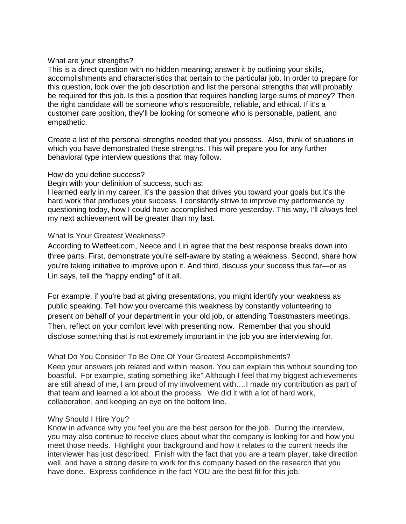#### What are your strengths?

This is a direct question with no hidden meaning; answer it by outlining your skills, accomplishments and characteristics that pertain to the particular job. In order to prepare for this question, look over the job description and list the personal strengths that will probably be required for this job. Is this a position that requires handling large sums of money? Then the right candidate will be someone who's responsible, reliable, and ethical. If it's a customer care position, they'll be looking for someone who is personable, patient, and empathetic.

Create a list of the personal strengths needed that you possess. Also, think of situations in which you have demonstrated these strengths. This will prepare you for any further behavioral type interview questions that may follow.

#### How do you define success?

Begin with your definition of success, such as:

I learned early in my career, it's the passion that drives you toward your goals but it's the hard work that produces your success. I constantly strive to improve my performance by questioning today, how I could have accomplished more yesterday. This way, I'll always feel my next achievement will be greater than my last.

# What Is Your Greatest Weakness?

According to Wetfeet.com, Neece and Lin agree that the best response breaks down into three parts. First, demonstrate you're self-aware by stating a weakness. Second, share how you're taking initiative to improve upon it. And third, discuss your success thus far—or as Lin says, tell the "happy ending" of it all.

For example, if you're bad at giving presentations, you might identify your weakness as public speaking. Tell how you overcame this weakness by constantly volunteering to present on behalf of your department in your old job, or attending Toastmasters meetings. Then, reflect on your comfort level with presenting now. Remember that you should disclose something that is not extremely important in the job you are interviewing for.

# What Do You Consider To Be One Of Your Greatest Accomplishments?

Keep your answers job related and within reason. You can explain this without sounding too boastful. For example, stating something like" Although I feel that my biggest achievements are still ahead of me, I am proud of my involvement with….I made my contribution as part of that team and learned a lot about the process. We did it with a lot of hard work, collaboration, and keeping an eye on the bottom line.

# Why Should I Hire You?

Know in advance why you feel you are the best person for the job. During the interview, you may also continue to receive clues about what the company is looking for and how you meet those needs. Highlight your background and how it relates to the current needs the interviewer has just described. Finish with the fact that you are a team player, take direction well, and have a strong desire to work for this company based on the research that you have done. Express confidence in the fact YOU are the best fit for this job.